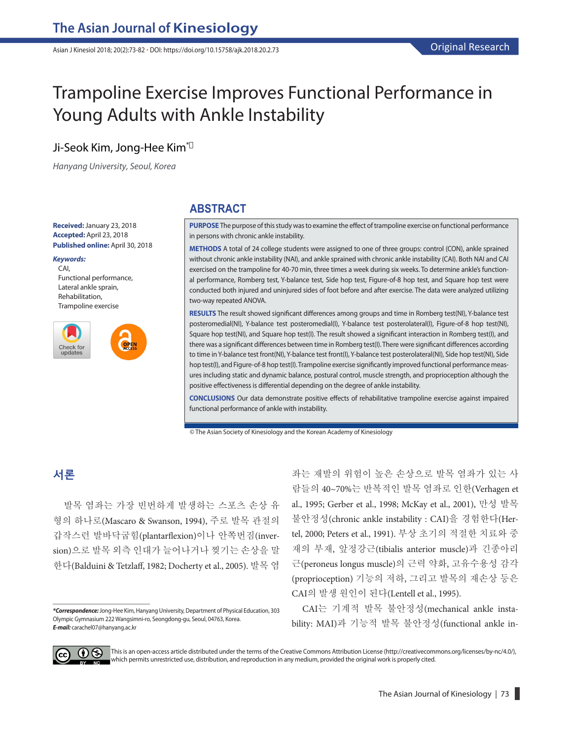Asian J Kinesiol 2018; 20(2):73-82 **·** DOI: https://doi.org/10.15758/ajk.2018.20.2.73

# Trampoline Exercise Improves Functional Performance in Young Adults with Ankle Instability

## Ji-Seok Kim, Jong-Hee Kim\*

*Hanyang University, Seoul, Korea*

**Received:**January 23, 2018 **Accepted:** April 23, 2018 **Published online:** April 30, 2018

#### *Keywords:*

CAI, Functional performance, Lateral ankle sprain, Rehabilitation, Trampoline exercise



#### **ABSTRACT**

**PURPOSE** The purpose of this study was to examine the effect of trampoline exercise on functional performance in persons with chronic ankle instability.

**METHODS** A total of 24 college students were assigned to one of three groups: control (CON), ankle sprained without chronic ankle instability (NAI), and ankle sprained with chronic ankle instability (CAI). Both NAI and CAI exercised on the trampoline for 40-70 min, three times a week during six weeks. To determine ankle's functional performance, Romberg test, Y-balance test, Side hop test, Figure-of-8 hop test, and Square hop test were conducted both injured and uninjured sides of foot before and after exercise. The data were analyzed utilizing two-way repeated ANOVA.

**RESULTS** The result showed significant differences among groups and time in Romberg test(NI), Y-balance test posteromedial(NI), Y-balance test posteromedial(I), Y-balance test posterolateral(I), Figure-of-8 hop test(NI), Square hop test(NI), and Square hop test(I). The result showed a significant interaction in Romberg test(I), and there was a significant differences between time in Romberg test(I). There were significant differences according to time in Y-balance test front(NI), Y-balance test front(I), Y-balance test posterolateral(NI), Side hop test(NI), Side hop test(I), and Figure-of-8 hop test(I). Trampoline exercise significantly improved functional performance measures including static and dynamic balance, postural control, muscle strength, and proprioception although the positive effectiveness is differential depending on the degree of ankle instability.

**CONCLUSIONS** Our data demonstrate positive effects of rehabilitative trampoline exercise against impaired functional performance of ankle with instability.

© The Asian Society of Kinesiology and the Korean Academy of Kinesiology

## **서론**

발목 염좌는 가장 빈번하게 발생하는 스포츠 손상 유 형의 하나로(Mascaro & Swanson, 1994), 주로 발목 관절의 갑작스런 발바닥굽힘(plantarflexion)이나 안쪽번짐(inversion)으로 발목 외측 인대가 늘어나거나 찢기는 손상을 말 한다(Balduini & Tetzlaff, 1982; Docherty et al., 2005). 발목 염

좌는 재발의 위험이 높은 손상으로 발목 염좌가 있는 사 람들의 40~70%는 반복적인 발목 염좌로 인한(Verhagen et al., 1995; Gerber et al., 1998; McKay et al., 2001), 만성 발목 불안정성(chronic ankle instability : CAI)을 경험한다(Hertel, 2000; Peters et al., 1991). 부상 초기의 적절한 치료와 중 재의 부재, 앞정강근(tibialis anterior muscle)과 긴종아리 근(peroneus longus muscle)의 근력 약화, 고유수용성 감각 (proprioception) 기능의 저하, 그리고 발목의 재손상 등은 CAI의 발생 원인이 된다(Lentell et al., 1995).

CAI는 기계적 발목 불안정성(mechanical ankle instability: MAI)과 기능적 발목 불안정성(functional ankle in-



This is an open-access article distributed under the terms of the Creative Commons Attribution License (http://creativecommons.org/licenses/by-nc/4.0/), which permits unrestricted use, distribution, and reproduction in any medium, provided the original work is properly cited.

*<sup>\*</sup>Correspondence:*Jong-Hee Kim, Hanyang University, Department of Physical Education, 303 Olympic Gymnasium 222 Wangsimni-ro, Seongdong-gu, Seoul, 04763, Korea. *E-mail:* carachel07@hanyang.ac.kr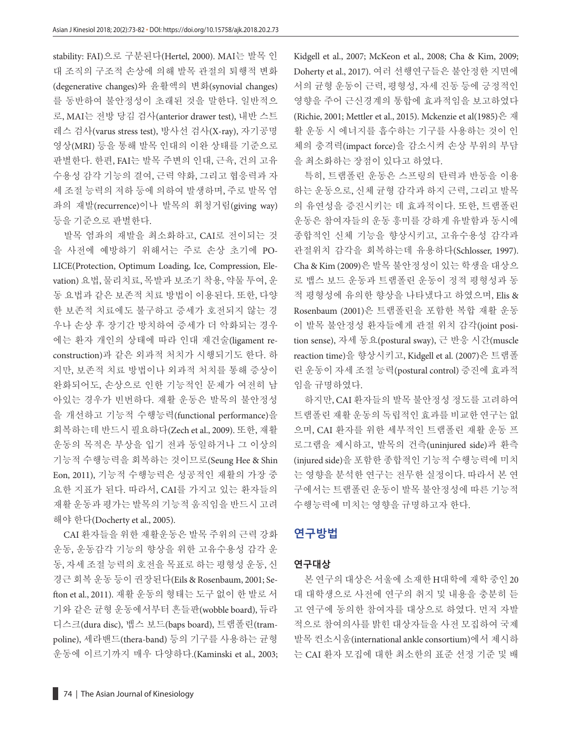stability: FAI)으로 구분된다(Hertel, 2000). MAI는 발목 인 대 조직의 구조적 손상에 의해 발목 관절의 퇴행적 변화 (degenerative changes)와 윤활액의 변화(synovial changes) 를 동반하여 불안정성이 초래된 것을 말한다. 일반적으 로, MAI는 전방 당김 검사(anterior drawer test), 내반 스트 레스 검사(varus stress test), 방사선 검사(X-ray), 자기공명 영상(MRI) 등을 통해 발목 인대의 이완 상태를 기준으로 판별한다. 한편, FAI는 발목 주변의 인대, 근육, 건의 고유 수용성 감각 기능의 결여, 근력 약화, 그리고 협응력과 자 세 조절 능력의 저하 등에 의하여 발생하며, 주로 발목 염 좌의 재발(recurrence)이나 발목의 휘청거림(giving way) 등을 기준으로 판별한다.

발목 염좌의 재발을 최소화하고, CAI로 전이되는 것 을 사전에 예방하기 위해서는 주로 손상 초기에 PO-LICE(Protection, Optimum Loading, Ice, Compression, Elevation) 요법, 물리치료, 목발과 보조기 착용, 약물 투여, 운 동 요법과 같은 보존적 치료 방법이 이용된다. 또한, 다양 한 보존적 치료에도 불구하고 증세가 호전되지 않는 경 우나 손상 후 장기간 방치하여 증세가 더 악화되는 경우 에는 환자 개인의 상태에 따라 인대 재건술(ligament reconstruction)과 같은 외과적 처치가 시행되기도 한다. 하 지만, 보존적 치료 방법이나 외과적 처치를 통해 증상이 완화되어도, 손상으로 인한 기능적인 문제가 여전히 남 아있는 경우가 빈번하다. 재활 운동은 발목의 불안정성 을 개선하고 기능적 수행능력(functional performance)을 회복하는데 반드시 필요하다(Zech et al., 2009). 또한, 재활 운동의 목적은 부상을 입기 전과 동일하거나 그 이상의 기능적 수행능력을 회복하는 것이므로(Seung Hee & Shin Eon, 2011), 기능적 수행능력은 성공적인 재활의 가장 중 요한 지표가 된다. 따라서, CAI를 가지고 있는 환자들의 재활 운동과 평가는 발목의 기능적 움직임을 반드시 고려 해야 한다(Docherty et al., 2005).

CAI 환자들을 위한 재활운동은 발목 주위의 근력 강화 운동, 운동감각 기능의 향상을 위한 고유수용성 감각 운 동, 자세 조절 능력의 호전을 목표로 하는 평형성 운동, 신 경근 회복 운동 등이 권장된다(Eils & Rosenbaum, 2001; Se fton et al., 2011). 재활 운동의 형태는 도구 없이 한 발로 서 기와 같은 균형 운동에서부터 흔들판(wobble board), 듀라 디스크(dura disc), 뱁스 보드(baps board), 트램폴린(trampoline), 세라밴드(thera-band) 등의 기구를 사용하는 균형 운동에 이르기까지 매우 다양하다.(Kaminski et al., 2003; Kidgell et al., 2007; McKeon et al., 2008; Cha & Kim, 2009; Doherty et al., 2017). 여러 선행연구들은 불안정한 지면에 서의 균형 운동이 근력, 평형성, 자세 진동 등에 긍정적인 영향을 주어 근신경계의 통합에 효과적임을 보고하였다 (Richie, 2001; Mettler et al., 2015). Mckenzie et al(1985)은 재 활 운동 시 에너지를 흡수하는 기구를 사용하는 것이 인 체의 충격력(impact force)을 감소시켜 손상 부위의 부담 을 최소화하는 장점이 있다고 하였다.

특히, 트램폴린 운동은 스프링의 탄력과 반동을 이용 하는 운동으로, 신체 균형 감각과 하지 근력, 그리고 발목 의 유연성을 증진시키는 데 효과적이다. 또한, 트램폴린 운동은 참여자들의 운동 흥미를 강하게 유발함과 동시에 종합적인 신체 기능을 향상시키고, 고유수용성 감각과 관절위치 감각을 회복하는데 유용하다(Schlosser, 1997). Cha & Kim (2009)은 발목 불안정성이 있는 학생을 대상으 로 뱁스 보드 운동과 트램폴린 운동이 정적 평형성과 동 적 평형성에 유의한 향상을 나타냈다고 하였으며, Elis & Rosenbaum (2001)은 트램폴린을 포함한 복합 재활 운동 이 발목 불안정성 환자들에게 관절 위치 감각(joint position sense), 자세 동요(postural sway), 근 반응 시간(muscle reaction time)을 향상시키고, Kidgell et al. (2007)은 트램폴 린 운동이 자세 조절 능력(postural control) 증진에 효과적 임을 규명하였다.

하지만, CAI 환자들의 발목 불안정성 정도를 고려하여 트램폴린 재활 운동의 독립적인 효과를 비교한 연구는 없 으며, CAI 환자를 위한 세부적인 트램폴린 재활 운동 프 로그램을 제시하고, 발목의 건측(uninjured side)과 환측 (injured side)을 포함한 종합적인 기능적 수행능력에 미치 는 영향을 분석한 연구는 전무한 실정이다. 따라서 본 연 구에서는 트램폴린 운동이 발목 불안정성에 따른 기능적 수행능력에 미치는 영향을 규명하고자 한다.

## **연구방법**

#### **연구대상**

본 연구의 대상은 서울에 소재한 H대학에 재학 중인 20 대 대학생으로 사전에 연구의 취지 및 내용을 충분히 듣 고 연구에 동의한 참여자를 대상으로 하였다. 먼저 자발 적으로 참여의사를 밝힌 대상자들을 사전 모집하여 국제 발목 컨소시움(international ankle consortium)에서 제시하 는 CAI 환자 모집에 대한 최소한의 표준 선정 기준 및 배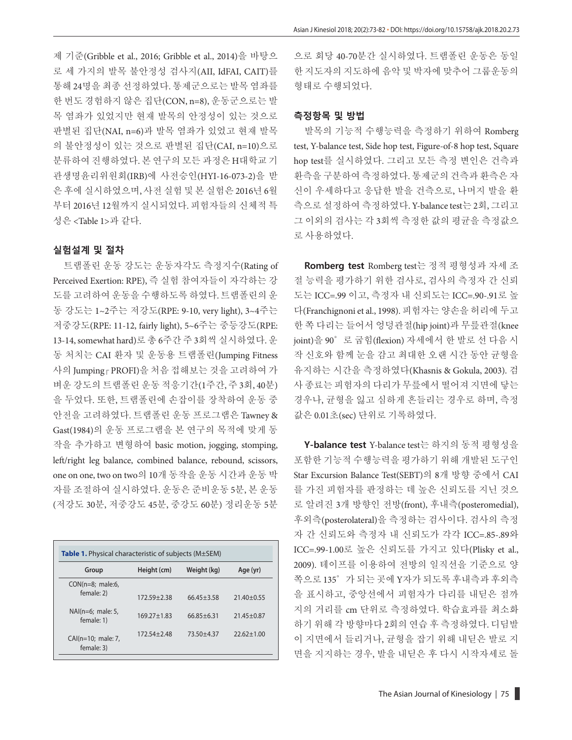제 기준(Gribble et al., 2016; Gribble et al., 2014)을 바탕으 로 세 가지의 발목 불안정성 검사지(AII, IdFAI, CAIT)를 통해 24명을 최종 선정하였다. 통제군으로는 발목 염좌를 한 번도 경험하지 않은 집단(CON, n=8), 운동군으로는 발 목 염좌가 있었지만 현재 발목의 안정성이 있는 것으로 판별된 집단(NAI, n=6)과 발목 염좌가 있었고 현재 발목 의 불안정성이 있는 것으로 판별된 집단(CAI, n=10)으로 분류하여 진행하였다. 본 연구의 모든 과정은 H대학교 기 관생명윤리위원회(IRB)에 사전승인(HYI-16-073-2)을 받 은 후에 실시하였으며, 사전 실험 및 본 실험은 2016년 6월 부터 2016년 12월까지 실시되었다. 피험자들의 신체적 특 성은 <Table 1>과 같다.

### **실험설계 및 절차**

트램폴린 운동 강도는 운동자각도 측정지수(Rating of Perceived Exertion: RPE), 즉 실험 참여자들이 자각하는 강 도를 고려하여 운동을 수행하도록 하였다. 트램폴린의 운 동 강도는 1~2주는 저강도(RPE: 9-10, very light), 3~4주는 저중강도(RPE: 11-12, fairly light), 5~6주는 중등강도(RPE: 13-14, somewhat hard)로 총 6주간 주 3회씩 실시하였다. 운 동 처치는 CAI 환자 및 운동용 트램폴린(Jumping Fitness 사의 Jumping PROFI)을 처음 접해보는 것을 고려하여 가 벼운 강도의 트램폴린 운동 적응기간(1주간, 주 3회, 40분) 을 두었다. 또한, 트램폴린에 손잡이를 장착하여 운동 중 안전을 고려하였다. 트램폴린 운동 프로그램은 Tawney & Gast(1984)의 운동 프로그램을 본 연구의 목적에 맞게 동 작을 추가하고 변형하여 basic motion, jogging, stomping, left/right leg balance, combined balance, rebound, scissors, one on one, two on two의 10개 동작을 운동 시간과 운동 박 자를 조절하여 실시하였다. 운동은 준비운동 5분, 본 운동 (저강도 30분, 저중강도 45분, 중강도 60분) 정리운동 5분

| <b>Table 1.</b> Physical characteristic of subjects (M±SEM) |                 |                |                  |  |  |  |
|-------------------------------------------------------------|-----------------|----------------|------------------|--|--|--|
| Group                                                       | Height (cm)     | Weight (kg)    | Age (yr)         |  |  |  |
| $CON(n=8; male:6,$<br>female: 2)                            | $172.59 + 2.38$ | $66.45 + 3.58$ | $21.40 \pm 0.55$ |  |  |  |
| $NAI(n=6; male: 5,$<br>female: 1)                           | $169.27 + 1.83$ | $66.85 + 6.31$ | $21.45 \pm 0.87$ |  |  |  |
| CAI(n=10; male: 7,<br>female: 3)                            | $172.54 + 2.48$ | 73.50 ± 4.37   | $22.62 \pm 1.00$ |  |  |  |

으로 회당 40-70분간 실시하였다. 트램폴린 운동은 동일 한 지도자의 지도하에 음악 및 박자에 맞추어 그룹운동의 형태로 수행되었다.

#### **측정항목 및 방법**

발목의 기능적 수행능력을 측정하기 위하여 Romberg test, Y-balance test, Side hop test, Figure-of-8 hop test, Square hop test를 실시하였다. 그리고 모든 측정 변인은 건측과 환측을 구분하여 측정하였다. 통제군의 건측과 환측은 자 신이 우세하다고 응답한 발을 건측으로, 나머지 발을 환 측으로 설정하여 측정하였다. Y-balance test는 2회, 그리고 그 이외의 검사는 각 3회씩 측정한 값의 평균을 측정값으 로 사용하였다.

**Romberg test** Romberg test는 정적 평형성과 자세 조 절 능력을 평가하기 위한 검사로, 검사의 측정자 간 신뢰 도는 ICC=.99 이고, 측정자 내 신뢰도는 ICC=.90-.91로 높 다(Franchignoni et al., 1998). 피험자는 양손을 허리에 두고 한 쪽 다리는 들어서 엉덩관절(hip joint)과 무릎관절(knee joint)을 90°로 굽힘(flexion) 자세에서 한 발로 선 다음 시 작 신호와 함께 눈을 감고 최대한 오랜 시간 동안 균형을 유지하는 시간을 측정하였다(Khasnis & Gokula, 2003). 검 사 종료는 피험자의 다리가 무릎에서 떨어져 지면에 닿는 경우나, 균형을 잃고 심하게 흔들리는 경우로 하며, 측정 값은 0.01초(sec) 단위로 기록하였다.

**Y-balance test** Y-balance test는 하지의 동적 평형성을 포함한 기능적 수행능력을 평가하기 위해 개발된 도구인 Star Excursion Balance Test(SEBT)의 8개 방향 중에서 CAI 를 가진 피험자를 판정하는 데 높은 신뢰도를 지닌 것으 로 알려진 3개 방향인 전방(front), 후내측(posteromedial), 후외측(posterolateral)을 측정하는 검사이다. 검사의 측정 자 간 신뢰도와 측정자 내 신뢰도가 각각 ICC=.85-.89와 ICC=.99-1.00로 높은 신뢰도를 가지고 있다(Plisky et al., 2009). 테이프를 이용하여 전방의 일직선을 기준으로 양 쪽으로 135°가 되는 곳에 Y자가 되도록 후내측과 후외측 을 표시하고, 중앙선에서 피험자가 다리를 내딛은 점까 지의 거리를 cm 단위로 측정하였다. 학습효과를 최소화 하기 위해 각 방향마다 2회의 연습 후 측정하였다. 디딤발 이 지면에서 들리거나, 균형을 잡기 위해 내딛은 발로 지 면을 지지하는 경우, 발을 내딛은 후 다시 시작자세로 돌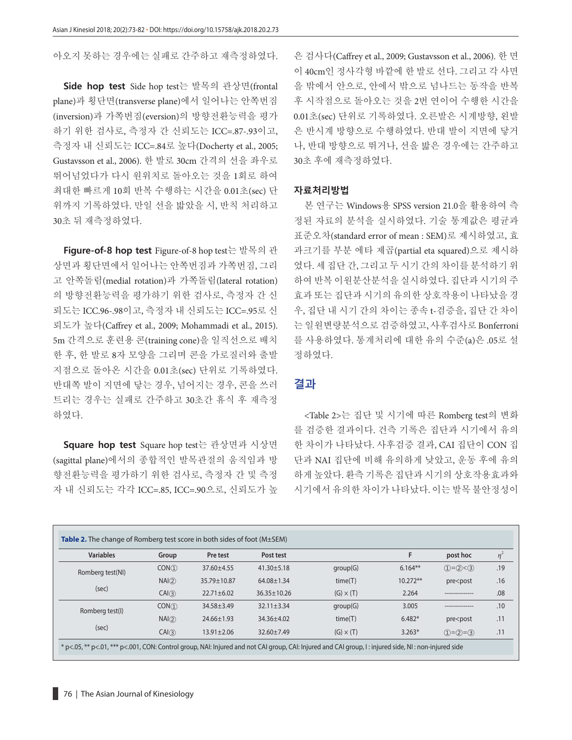아오지 못하는 경우에는 실패로 간주하고 재측정하였다.

**Side hop test** Side hop test는 발목의 관상면(frontal plane)과 횡단면(transverse plane)에서 일어나는 안쪽번짐 (inversion)과 가쪽번짐(eversion)의 방향전환능력을 평가 하기 위한 검사로, 측정자 간 신뢰도는 ICC=.87-.93이고, 측정자 내 신뢰도는 ICC=.84로 높다(Docherty et al., 2005; Gustavsson et al., 2006). 한 발로 30cm 간격의 선을 좌우로 뛰어넘었다가 다시 원위치로 돌아오는 것을 1회로 하여 최대한 빠르게 10회 반복 수행하는 시간을 0.01초(sec) 단 위까지 기록하였다. 만일 선을 밟았을 시, 반칙 처리하고 30초 뒤 재측정하였다.

**Figure-of-8 hop test** Figure-of-8 hop test는 발목의 관 상면과 횡단면에서 일어나는 안쪽번짐과 가쪽번짐, 그리 고 안쪽돌림(medial rotation)과 가쪽돌림(lateral rotation) 의 방향전환능력을 평가하기 위한 검사로, 측정자 간 신 뢰도는 ICC.96-.98이고, 측정자 내 신뢰도는 ICC=.95로 신 뢰도가 높다(Carey et al., 2009; Mohammadi et al., 2015). 5m 간격으로 훈련용 콘(training cone)을 일직선으로 배치 한 후, 한 발로 8자 모양을 그리며 콘을 가로질러와 출발 지점으로 돌아온 시간을 0.01초(sec) 단위로 기록하였다. 반대쪽 발이 지면에 닿는 경우, 넘어지는 경우, 콘을 쓰러 트리는 경우는 실패로 간주하고 30초간 휴식 후 재측정 하였다.

**Square hop test** Square hop test는 관상면과 시상면 (sagittal plane)에서의 종합적인 발목관절의 움직임과 방 향전환능력을 평가하기 위한 검사로, 측정자 간 및 측정 자 내 신뢰도는 각각 ICC=.85, ICC=.90으로, 신뢰도가 높 은 검사다(Caffrey et al., 2009; Gustavsson et al., 2006). 한 면 이 40cm인 정사각형 바깥에 한 발로 선다. 그리고 각 사면 을 밖에서 안으로, 안에서 밖으로 넘나드는 동작을 반복 후 시작점으로 돌아오는 것을 2번 연이어 수행한 시간을 0.01초(sec) 단위로 기록하였다. 오른발은 시계방향, 왼발 은 반시계 방향으로 수행하였다. 반대 발이 지면에 닿거 나, 반대 방향으로 뛰거나, 선을 밟은 경우에는 간주하고 30초 후에 재측정하였다.

#### **자료처리방법**

본 연구는 Windows용 SPSS version 21.0을 활용하여 측 정된 자료의 분석을 실시하였다. 기술 통계값은 평균과 표준오차(standard error of mean : SEM)로 제시하였고, 효 과크기를 부분 에타 제곱(partial eta squared)으로 제시하 였다. 세 집단 간, 그리고 두 시기 간의 차이를 분석하기 위 하여 반복 이원분산분석을 실시하였다. 집단과 시기의 주 효과 또는 집단과 시기의 유의한 상호작용이 나타났을 경 우, 집단 내 시기 간의 차이는 종속 t-검증을, 집단 간 차이 는 일원변량분석으로 검증하였고, 사후검사로 Bonferroni 를 사용하였다. 통계처리에 대한 유의 수준(a)은 .05로 설 정하였다.

#### **결과**

<Table 2>는 집단 및 시기에 따른 Romberg test의 변화 를 검증한 결과이다. 건측 기록은 집단과 시기에서 유의 한 차이가 나타났다. 사후검증 결과, CAI 집단이 CON 집 단과 NAI 집단에 비해 유의하게 낮았고, 운동 후에 유의 하게 높았다. 환측 기록은 집단과 시기의 상호작용효과와 시기에서 유의한 차이가 나타났다. 이는 발목 불안정성이

| <b>Variables</b> | Group  | Pre test         | Post test         |                  | F          | post hoc                              | $\eta$ |
|------------------|--------|------------------|-------------------|------------------|------------|---------------------------------------|--------|
| Romberg test(NI) | CON(1) | $37.60 + 4.55$   | $41.30 \pm 5.18$  | group(G)         | $6.164**$  | $(1)=(2) < (3)$                       | .19    |
|                  | NA(2)  | 35.79±10.87      | $64.08 \pm 1.34$  | time(T)          | $10.272**$ | pre <post< td=""><td>.16</td></post<> | .16    |
| (sec)            | CAI(3) | $22.71 \pm 6.02$ | $36.35 \pm 10.26$ | $(G) \times (T)$ | 2.264      | ---------------                       | .08    |
| Romberg test(I)  | CON(1) | $34.58 + 3.49$   | $32.11 \pm 3.34$  | group(G)         | 3.005      | ---------------                       | .10    |
|                  | NAI(2) | 24.66±1.93       | $34.36 \pm 4.02$  | time(T)          | $6.482*$   | pre <post< td=""><td>.11</td></post<> | .11    |
| (sec)            | CAI(3) | $13.91 \pm 2.06$ | $32.60 \pm 7.49$  | $(G) \times (T)$ | $3.263*$   | $(1)=(2)=(3)$                         | .11    |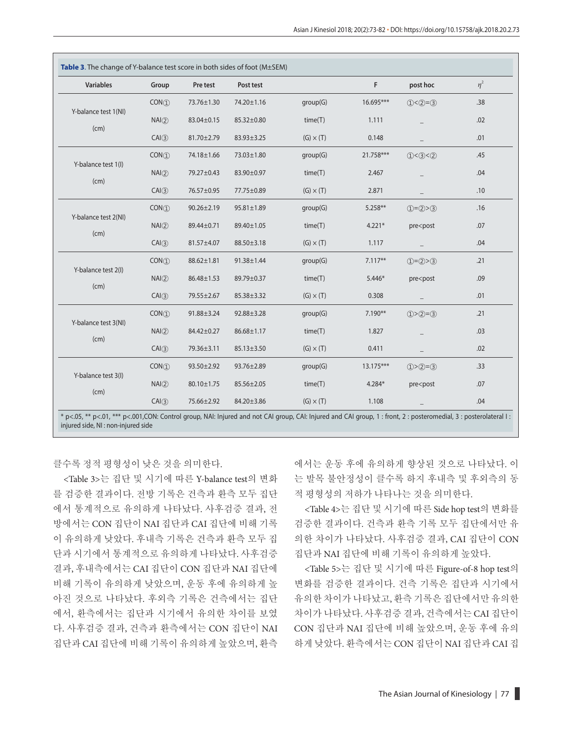| <b>Variables</b>             | Group  | Pre test         | Post test        |                  | F.        | post hoc                              | $\eta^2$ |
|------------------------------|--------|------------------|------------------|------------------|-----------|---------------------------------------|----------|
| Y-balance test 1(NI)         | CON(1) | 73.76±1.30       | 74.20±1.16       | group(G)         | 16.695*** | $(1) < (2) = (3)$                     | .38      |
| (cm)                         | NAQ    | 83.04±0.15       | 85.32±0.80       | time(T)          | 1.111     |                                       | .02      |
|                              | CAI(3) | 81.70±2.79       | 83.93±3.25       | $(G) \times (T)$ | 0.148     |                                       | .01      |
| Y-balance test 1(I)<br>(cm)  | CON(1) | 74.18±1.66       | 73.03±1.80       | group(G)         | 21.758*** | (1) < (3) < (2)                       | .45      |
|                              | NA(2)  | 79.27±0.43       | 83.90±0.97       | time(T)          | 2.467     |                                       | .04      |
|                              | CA(3)  | 76.57±0.95       | 77.75±0.89       | $(G) \times (T)$ | 2.871     |                                       | .10      |
| Y-balance test 2(NI)<br>(cm) | CON(1) | $90.26 \pm 2.19$ | $95.81 \pm 1.89$ | group(G)         | $5.258**$ | $(1)=(2)>(3)$                         | .16      |
|                              | NAQ    | 89.44±0.71       | 89.40±1.05       | time(T)          | $4.221*$  | pre <post< td=""><td>.07</td></post<> | .07      |
|                              | CAI(3) | 81.57±4.07       | 88.50±3.18       | $(G) \times (T)$ | 1.117     |                                       | .04      |
| Y-balance test 2(I)<br>(cm)  | CON(1) | 88.62±1.81       | 91.38±1.44       | group(G)         | $7.117**$ | $(1)=(2)>(3)$                         | .21      |
|                              | NA(2)  | 86.48±1.53       | 89.79±0.37       | time(T)          | 5.446*    | pre <post< td=""><td>.09</td></post<> | .09      |
|                              | CAI(3) | 79.55±2.67       | 85.38±3.32       | $(G) \times (T)$ | 0.308     |                                       | .01      |
|                              | CON(1) | 91.88±3.24       | 92.88±3.28       | group(G)         | 7.190**   | $(1) > (2) = (3)$                     | .21      |
| Y-balance test 3(NI)<br>(cm) | NAQ    | 84.42±0.27       | $86.68 \pm 1.17$ | time(T)          | 1.827     |                                       | .03      |
|                              | CAI(3) | 79.36±3.11       | 85.13±3.50       | $(G) \times (T)$ | 0.411     |                                       | .02      |
|                              | CON(1) | 93.50±2.92       | 93.76±2.89       | group(G)         | 13.175*** | $(1) > (2) = (3)$                     | .33      |
| Y-balance test 3(I)          | NA(2)  | 80.10±1.75       | 85.56±2.05       | time(T)          | 4.284*    | pre <post< td=""><td>.07</td></post<> | .07      |
| (cm)                         | CAI(3) | 75.66±2.92       | 84.20±3.86       | $(G) \times (T)$ | 1.108     |                                       | .04      |

클수록 정적 평형성이 낮은 것을 의미한다.

<Table 3>는 집단 및 시기에 따른 Y-balance test의 변화 를 검증한 결과이다. 전방 기록은 건측과 환측 모두 집단 에서 통계적으로 유의하게 나타났다. 사후검증 결과, 전 방에서는 CON 집단이 NAI 집단과 CAI 집단에 비해 기록 이 유의하게 낮았다. 후내측 기록은 건측과 환측 모두 집 단과 시기에서 통계적으로 유의하게 나타났다. 사후검증 결과, 후내측에서는 CAI 집단이 CON 집단과 NAI 집단에 비해 기록이 유의하게 낮았으며, 운동 후에 유의하게 높 아진 것으로 나타났다. 후외측 기록은 건측에서는 집단 에서, 환측에서는 집단과 시기에서 유의한 차이를 보였 다. 사후검증 결과, 건측과 환측에서는 CON 집단이 NAI 집단과 CAI 집단에 비해 기록이 유의하게 높았으며, 환측

에서는 운동 후에 유의하게 향상된 것으로 나타났다. 이 는 발목 불안정성이 클수록 하지 후내측 및 후외측의 동 적 평형성의 저하가 나타나는 것을 의미한다.

<Table 4>는 집단 및 시기에 따른 Side hop test의 변화를 검증한 결과이다. 건측과 환측 기록 모두 집단에서만 유 의한 차이가 나타났다. 사후검증 결과, CAI 집단이 CON 집단과 NAI 집단에 비해 기록이 유의하게 높았다.

<Table 5>는 집단 및 시기에 따른 Figure-of-8 hop test의 변화를 검증한 결과이다. 건측 기록은 집단과 시기에서 유의한 차이가 나타났고, 환측 기록은 집단에서만 유의한 차이가 나타났다. 사후검증 결과, 건측에서는 CAI 집단이 CON 집단과 NAI 집단에 비해 높았으며, 운동 후에 유의 하게 낮았다. 환측에서는 CON 집단이 NAI 집단과 CAI 집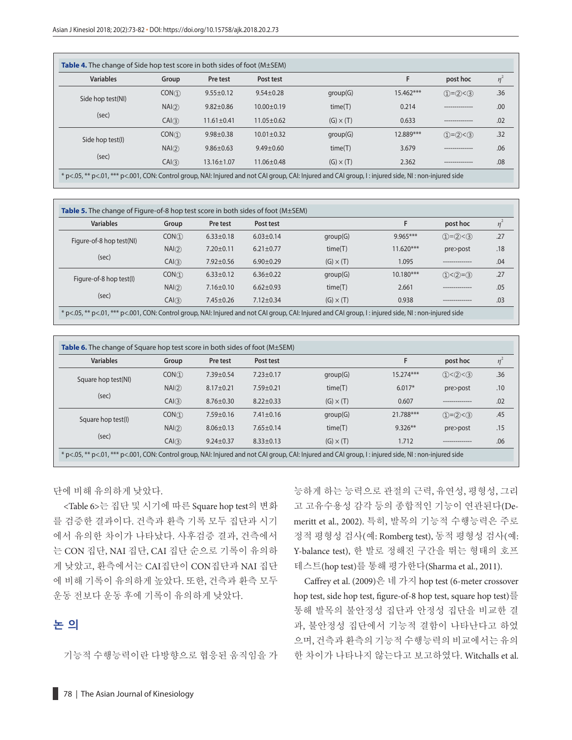|                   |                  | <b>Table 4.</b> The change of Side hop test score in both sides of foot $(M \pm SEM)$ |                  |                  |                 |                 |          |
|-------------------|------------------|---------------------------------------------------------------------------------------|------------------|------------------|-----------------|-----------------|----------|
| <b>Variables</b>  | Group            | Pre test                                                                              | Post test        |                  |                 | post hoc        | $\eta^2$ |
| Side hop test(NI) | CON(1)           | $9.55 \pm 0.12$                                                                       | $9.54 \pm 0.28$  | group(G)         | 15.462***       | $(1)=(2)$ < 3   | .36      |
|                   | NAI(2)           | $9.82 \pm 0.86$                                                                       | $10.00 \pm 0.19$ | time(T)          | 0.214           | --------------- | .00      |
| (sec)<br>CA(3)    | $11.61 \pm 0.41$ | $11.05 \pm 0.62$                                                                      | $(G) \times (T)$ | 0.633            | --------------- | .02             |          |
| Side hop test(I)  | CON(1)           | $9.98 \pm 0.38$                                                                       | $10.01 \pm 0.32$ | group(G)         | 12.889***       | $(1)=(2)$ < 3   | .32      |
|                   | NAI(2)           | $9.86 \pm 0.63$                                                                       | $9.49 + 0.60$    | time(T)          | 3.679           | --------------- | .06      |
| (sec)             | CAI(3)           | $13.16 \pm 1.07$                                                                      | $11.06 \pm 0.48$ | $(G) \times (T)$ | 2.362           |                 | .08      |

| <b>Variables</b>         | Group  | Pre test        | Post test       |                  |             | post hoc          | $\eta$ <sup>-</sup> |
|--------------------------|--------|-----------------|-----------------|------------------|-------------|-------------------|---------------------|
| Figure-of-8 hop test(NI) | CON(1) | $6.33 \pm 0.18$ | $6.03 \pm 0.14$ | group(G)         | $9.965***$  | $(1)=(2) < (3)$   | .27                 |
|                          | NAI(2) | $7.20 \pm 0.11$ | $6.21 \pm 0.77$ | time(T)          | $11.620***$ | pre>post          | .18                 |
| (sec)<br>CA(3)           |        | $7.92 \pm 0.56$ | $6.90 \pm 0.29$ | $(G) \times (T)$ | 1.095       | --------------    | .04                 |
| Figure-of-8 hop test(I)  | CON(1) | $6.33 \pm 0.12$ | $6.36 \pm 0.22$ | group(G)         | $10.180***$ | $(1) < (2) = (3)$ | .27                 |
|                          | NAI(2) | $7.16 \pm 0.10$ | $6.62 \pm 0.93$ | time(T)          | 2.661       | ---------------   | .05                 |
| (sec)                    | CAI(3) | $7.45 \pm 0.26$ | $7.12 \pm 0.34$ | $(G) \times (T)$ | 0.938       | ----------------  | .03                 |

| <b>Variables</b>    | Group  | Pre test        | Post test       |                  |           | post hoc        | $\eta^2$ |
|---------------------|--------|-----------------|-----------------|------------------|-----------|-----------------|----------|
| Square hop test(NI) | CON(1) | 7.39±0.54       | $7.23 \pm 0.17$ | group(G)         | 15.274*** | (1) < (2) < (3) | .36      |
|                     | NAI(2) | $8.17 \pm 0.21$ | $7.59 \pm 0.21$ | time(T)          | $6.017*$  | pre>post        | .10      |
| (sec)               | CAI(3) | $8.76 \pm 0.30$ | $8.22 \pm 0.33$ | $(G) \times (T)$ | 0.607     | --------------  | .02      |
| Square hop test(I)  | CON(1) | $7.59 \pm 0.16$ | $7.41 \pm 0.16$ | group(G)         | 21.788*** | $(1)=(2) < (3)$ | .45      |
|                     | NAI(2) | $8.06 \pm 0.13$ | $7.65 \pm 0.14$ | time(T)          | $9.326**$ | pre>post        | .15      |
| (sec)               | CAI(3) | $9.24 \pm 0.37$ | $8.33 \pm 0.13$ | $(G) \times (T)$ | 1.712     |                 | .06      |

단에 비해 유의하게 낮았다.

<Table 6>는 집단 및 시기에 따른 Square hop test의 변화 를 검증한 결과이다. 건측과 환측 기록 모두 집단과 시기 에서 유의한 차이가 나타났다. 사후검증 결과, 건측에서 는 CON 집단, NAI 집단, CAI 집단 순으로 기록이 유의하 게 낮았고, 환측에서는 CAI집단이 CON집단과 NAI 집단 에 비해 기록이 유의하게 높았다. 또한, 건측과 환측 모두 운동 전보다 운동 후에 기록이 유의하게 낮았다.

## **논 의**

기능적 수행능력이란 다방향으로 협응된 움직임을 가

능하게 하는 능력으로 관절의 근력, 유연성, 평형성, 그리 고 고유수용성 감각 등의 종합적인 기능이 연관된다(Demeritt et al., 2002). 특히, 발목의 기능적 수행능력은 주로 정적 평형성 검사(예: Romberg test), 동적 평형성 검사(예: Y-balance test), 한 발로 정해진 구간을 뛰는 형태의 호프 테스트(hop test)를 통해 평가한다(Sharma et al., 2011).

Caffrey et al. (2009)은 네 가지 hop test (6-meter crossover hop test, side hop test, figure-of-8 hop test, square hop test)를 통해 발목의 불안정성 집단과 안정성 집단을 비교한 결 과, 불안정성 집단에서 기능적 결함이 나타난다고 하였 으며, 건측과 환측의 기능적 수행능력의 비교에서는 유의 한 차이가 나타나지 않는다고 보고하였다. Witchalls et al.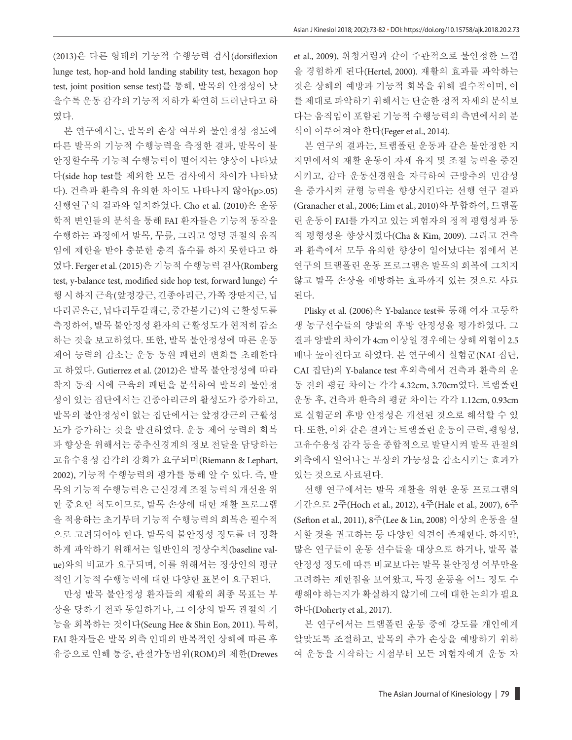(2013)은 다른 형태의 기능적 수행능력 검사(dorsiflexion lunge test, hop-and hold landing stability test, hexagon hop test, joint position sense test)를 통해, 발목의 안정성이 낮 을수록 운동 감각의 기능적 저하가 확연히 드러난다고 하 였다.

본 연구에서는, 발목의 손상 여부와 불안정성 정도에 따른 발목의 기능적 수행능력을 측정한 결과, 발목이 불 안정할수록 기능적 수행능력이 떨어지는 양상이 나타났 다(side hop test를 제외한 모든 검사에서 차이가 나타났 다). 건측과 환측의 유의한 차이도 나타나지 않아(p>.05) 선행연구의 결과와 일치하였다. Cho et al. (2010)은 운동 학적 변인들의 분석을 통해 FAI 환자들은 기능적 동작을 수행하는 과정에서 발목, 무릎, 그리고 엉덩 관절의 움직 임에 제한을 받아 충분한 충격 흡수를 하지 못한다고 하 였다. Ferger et al. (2015)은 기능적 수행능력 검사(Romberg test, y-balance test, modified side hop test, forward lunge)  $\hat{\tau}$ 행 시 하지 근육(앞정강근, 긴종아리근, 가쪽 장딴지근, 넙 다리곧은근, 넙다리두갈래근, 중간볼기근)의근활성도를 측정하여, 발목 불안정성 환자의 근활성도가 현저히 감소 하는 것을 보고하였다. 또한, 발목 불안정성에 따른 운동 제어 능력의 감소는 운동 동원 패턴의 변화를 초래한다 고 하였다. Gutierrez et al. (2012)은 발목 불안정성에 따라 착지 동작 시에 근육의 패턴을 분석하여 발목의 불안정 성이 있는 집단에서는 긴종아리근의 활성도가 증가하고, 발목의 불안정성이 없는 집단에서는 앞정강근의 근활성 도가 증가하는 것을 발견하였다. 운동 제어 능력의 회복 과 향상을 위해서는 중추신경계의 정보 전달을 담당하는 고유수용성 감각의 강화가 요구되며(Riemann & Lephart, 2002), 기능적 수행능력의 평가를 통해 알 수 있다. 즉, 발 목의 기능적 수행능력은 근신경계 조절 능력의 개선을 위 한 중요한 척도이므로, 발목 손상에 대한 재활 프로그램 을 적용하는 초기부터 기능적 수행능력의 회복은 필수적 으로 고려되어야 한다. 발목의 불안정성 정도를 더 정확 하게 파악하기 위해서는 일반인의 정상수치(baseline value)와의 비교가 요구되며, 이를 위해서는 정상인의 평균 적인 기능적 수행능력에 대한 다양한 표본이 요구된다.

만성 발목 불안정성 환자들의 재활의 최종 목표는 부 상을 당하기 전과 동일하거나, 그 이상의 발목 관절의 기 능을 회복하는 것이다(Seung Hee & Shin Eon, 2011). 특히, FAI 환자들은 발목 외측 인대의 반복적인 상해에 따른 후 유증으로 인해 통증, 관절가동범위(ROM)의 제한(Drewes et al., 2009), 휘청거림과 같이 주관적으로 불안정한 느낌 을 경험하게 된다(Hertel, 2000). 재활의 효과를 파악하는 것은 상해의 예방과 기능적 회복을 위해 필수적이며, 이 를 제대로 파악하기 위해서는 단순한 정적 자세의 분석보 다는 움직임이 포함된 기능적 수행능력의 측면에서의 분 석이 이루어져야 한다(Feger et al., 2014).

본 연구의 결과는, 트램폴린 운동과 같은 불안정한 지 지면에서의 재활 운동이 자세 유지 및 조절 능력을 증진 시키고, 감마 운동신경원을 자극하여 근방추의 민감성 을 증가시켜 균형 능력을 향상시킨다는 선행 연구 결과 (Granacher et al., 2006; Lim et al., 2010)와 부합하여, 트램폴 린 운동이 FAI를 가지고 있는 피험자의 정적 평형성과 동 적 평형성을 향상시켰다(Cha & Kim, 2009). 그리고 건측 과 환측에서 모두 유의한 향상이 일어났다는 점에서 본 연구의 트램폴린 운동 프로그램은 발목의 회복에 그치지 않고 발목 손상을 예방하는 효과까지 있는 것으로 사료 된다.

Plisky et al. (2006)은 Y-balance test를 통해 여자 고등학 생 농구선수들의 양발의 후방 안정성을 평가하였다. 그 결과 양발의 차이가 4cm 이상일 경우에는 상해 위험이 2.5 배나 높아진다고 하였다. 본 연구에서 실험군(NAI 집단, CAI 집단)의 Y-balance test 후외측에서 건측과 환측의 운 동 전의 평균 차이는 각각 4.32cm, 3.70cm였다. 트램폴린 운동 후, 건측과 환측의 평균 차이는 각각 1.12cm, 0.93cm 로 실험군의 후방 안정성은 개선된 것으로 해석할 수 있 다. 또한, 이와 같은 결과는 트램폴린 운동이 근력, 평형성, 고유수용성 감각 등을 종합적으로 발달시켜 발목 관절의 외측에서 일어나는 부상의 가능성을 감소시키는 효과가 있는 것으로 사료된다.

선행 연구에서는 발목 재활을 위한 운동 프로그램의 기간으로 2주(Hoch et al., 2012), 4주(Hale et al., 2007), 6주 (Sefton et al., 2011), 8주(Lee & Lin, 2008) 이상의 운동을 실 시할 것을 권고하는 등 다양한 의견이 존재한다. 하지만, 많은 연구들이 운동 선수들을 대상으로 하거나, 발목 불 안정성 정도에 따른 비교보다는 발목 불안정성 여부만을 고려하는 제한점을 보여왔고, 특정 운동을 어느 정도 수 행해야 하는지가 확실하지 않기에 그에 대한 논의가 필요 하다(Doherty et al., 2017).

본 연구에서는 트램폴린 운동 중에 강도를 개인에게 알맞도록 조절하고, 발목의 추가 손상을 예방하기 위하 여 운동을 시작하는 시점부터 모든 피험자에게 운동 자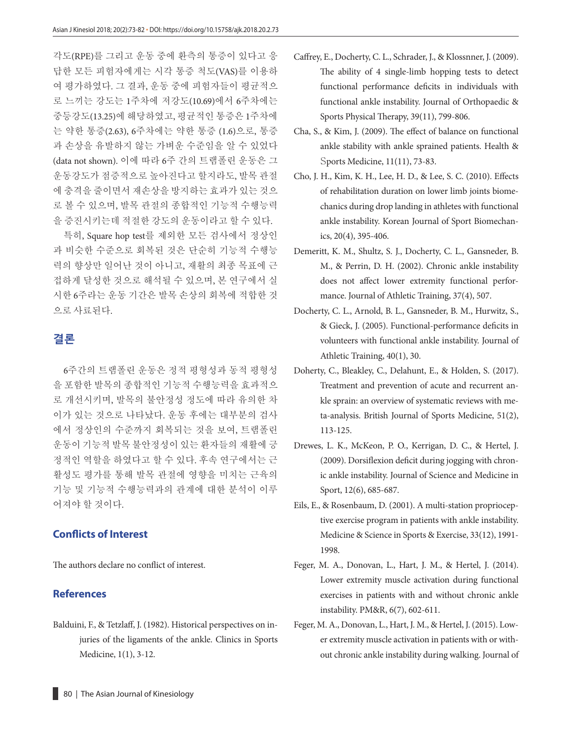각도(RPE)를 그리고 운동 중에 환측의 통증이 있다고 응 답한 모든 피험자에게는 시각 통증 척도(VAS)를 이용하 여 평가하였다. 그 결과, 운동 중에 피험자들이 평균적으 로 느끼는 강도는 1주차에 저강도(10.69)에서 6주차에는 중등강도(13.25)에 해당하였고, 평균적인 통증은 1주차에 는 약한 통증(2.63), 6주차에는 약한 통증 (1.6)으로, 통증 과 손상을 유발하지 않는 가벼운 수준임을 알 수 있었다 (data not shown). 이에 따라 6주 간의 트램폴린 운동은 그 운동강도가 점증적으로 높아진다고 할지라도, 발목 관절 에 충격을 줄이면서 재손상을 방지하는 효과가 있는 것으 로 볼 수 있으며, 발목 관절의 종합적인 기능적 수행능력 을 증진시키는데 적절한 강도의 운동이라고 할 수 있다.

특히, Square hop test를 제외한 모든 검사에서 정상인 과 비슷한 수준으로 회복된 것은 단순히 기능적 수행능 력의 향상만 일어난 것이 아니고, 재활의 최종 목표에 근 접하게 달성한 것으로 해석될 수 있으며, 본 연구에서 실 시한 6주라는 운동 기간은 발목 손상의 회복에 적합한 것 으로 사료된다.

## **결론**

6주간의 트램폴린 운동은 정적 평형성과 동적 평형성 을 포함한 발목의 종합적인 기능적 수행능력을 효과적으 로 개선시키며, 발목의 불안정성 정도에 따라 유의한 차 이가 있는 것으로 나타났다. 운동 후에는 대부분의 검사 에서 정상인의 수준까지 회복되는 것을 보여, 트램폴린 운동이 기능적 발목 불안정성이 있는 환자들의 재활에 긍 정적인 역할을 하였다고 할 수 있다. 후속 연구에서는 근 활성도 평가를 통해 발목 관절에 영향을 미치는 근육의 기능 및 기능적 수행능력과의 관계에 대한 분석이 이루 어져야 할 것이다.

#### **Conflicts of Interest**

The authors declare no conflict of interest.

#### **References**

Balduini, F., & Tetzlaff, J. (1982). Historical perspectives on injuries of the ligaments of the ankle. Clinics in Sports Medicine, 1(1), 3-12.

- Caffrey, E., Docherty, C. L., Schrader, J., & Klossnner, J. (2009). The ability of 4 single-limb hopping tests to detect functional performance deficits in individuals with functional ankle instability. Journal of Orthopaedic & Sports Physical Therapy, 39(11), 799-806.
- Cha, S., & Kim, J. (2009). The effect of balance on functional ankle stability with ankle sprained patients. Health & Sports Medicine, 11(11), 73-83.
- Cho, J. H., Kim, K. H., Lee, H. D., & Lee, S. C. (2010). Effects of rehabilitation duration on lower limb joints biomechanics during drop landing in athletes with functional ankle instability. Korean Journal of Sport Biomechanics, 20(4), 395-406.
- Demeritt, K. M., Shultz, S. J., Docherty, C. L., Gansneder, B. M., & Perrin, D. H. (2002). Chronic ankle instability does not affect lower extremity functional performance. Journal of Athletic Training, 37(4), 507.
- Docherty, C. L., Arnold, B. L., Gansneder, B. M., Hurwitz, S., & Gieck, J. (2005). Functional-performance deficits in volunteers with functional ankle instability. Journal of Athletic Training, 40(1), 30.
- Doherty, C., Bleakley, C., Delahunt, E., & Holden, S. (2017). Treatment and prevention of acute and recurrent ankle sprain: an overview of systematic reviews with meta-analysis. British Journal of Sports Medicine, 51(2), 113-125.
- Drewes, L. K., McKeon, P. O., Kerrigan, D. C., & Hertel, J. (2009). Dorsiflexion deficit during jogging with chronic ankle instability. Journal of Science and Medicine in Sport, 12(6), 685-687.
- Eils, E., & Rosenbaum, D. (2001). A multi-station proprioceptive exercise program in patients with ankle instability. Medicine & Science in Sports & Exercise, 33(12), 1991- 1998.
- Feger, M. A., Donovan, L., Hart, J. M., & Hertel, J. (2014). Lower extremity muscle activation during functional exercises in patients with and without chronic ankle instability. PM&R, 6(7), 602-611.
- Feger, M. A., Donovan, L., Hart, J. M., & Hertel, J. (2015). Lower extremity muscle activation in patients with or without chronic ankle instability during walking. Journal of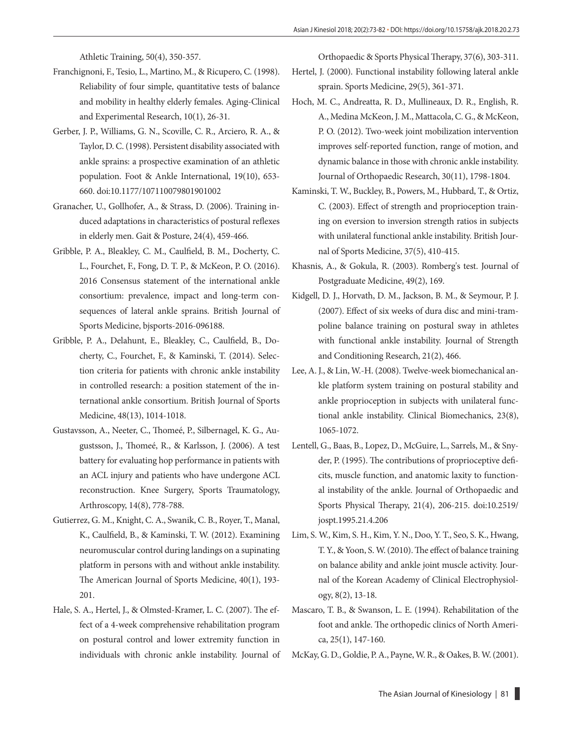Athletic Training, 50(4), 350-357.

- Franchignoni, F., Tesio, L., Martino, M., & Ricupero, C. (1998). Reliability of four simple, quantitative tests of balance and mobility in healthy elderly females. Aging-Clinical and Experimental Research, 10(1), 26-31.
- Gerber, J. P., Williams, G. N., Scoville, C. R., Arciero, R. A., & Taylor, D. C. (1998). Persistent disability associated with ankle sprains: a prospective examination of an athletic population. Foot & Ankle International, 19(10), 653- 660. doi:10.1177/107110079801901002
- Granacher, U., Gollhofer, A., & Strass, D. (2006). Training induced adaptations in characteristics of postural reflexes in elderly men. Gait & Posture, 24(4), 459-466.
- Gribble, P. A., Bleakley, C. M., Caulfield, B. M., Docherty, C. L., Fourchet, F., Fong, D. T. P., & McKeon, P. O. (2016). 2016 Consensus statement of the international ankle consortium: prevalence, impact and long-term consequences of lateral ankle sprains. British Journal of Sports Medicine, bjsports-2016-096188.
- Gribble, P. A., Delahunt, E., Bleakley, C., Caulfield, B., Docherty, C., Fourchet, F., & Kaminski, T. (2014). Selection criteria for patients with chronic ankle instability in controlled research: a position statement of the international ankle consortium. British Journal of Sports Medicine, 48(13), 1014-1018.
- Gustavsson, A., Neeter, C., Thomeé, P., Silbernagel, K. G., Augustsson, J., Thomeé, R., & Karlsson, J. (2006). A test battery for evaluating hop performance in patients with an ACL injury and patients who have undergone ACL reconstruction. Knee Surgery, Sports Traumatology, Arthroscopy, 14(8), 778-788.
- Gutierrez, G. M., Knight, C. A., Swanik, C. B., Royer, T., Manal, K., Caulfield, B., & Kaminski, T. W. (2012). Examining neuromuscular control during landings on a supinating platform in persons with and without ankle instability. The American Journal of Sports Medicine, 40(1), 193- 201.
- Hale, S. A., Hertel, J., & Olmsted-Kramer, L. C. (2007). The effect of a 4-week comprehensive rehabilitation program on postural control and lower extremity function in individuals with chronic ankle instability. Journal of

Orthopaedic & Sports Physical Therapy, 37(6), 303-311.

- Hertel, J. (2000). Functional instability following lateral ankle sprain. Sports Medicine, 29(5), 361-371.
- Hoch, M. C., Andreatta, R. D., Mullineaux, D. R., English, R. A., Medina McKeon, J. M., Mattacola, C. G., & McKeon, P. O. (2012). Two-week joint mobilization intervention improves self-reported function, range of motion, and dynamic balance in those with chronic ankle instability. Journal of Orthopaedic Research, 30(11), 1798-1804.
- Kaminski, T. W., Buckley, B., Powers, M., Hubbard, T., & Ortiz, C. (2003). Effect of strength and proprioception training on eversion to inversion strength ratios in subjects with unilateral functional ankle instability. British Journal of Sports Medicine, 37(5), 410-415.
- Khasnis, A., & Gokula, R. (2003). Romberg's test. Journal of Postgraduate Medicine, 49(2), 169.
- Kidgell, D. J., Horvath, D. M., Jackson, B. M., & Seymour, P. J. (2007). Effect of six weeks of dura disc and mini-trampoline balance training on postural sway in athletes with functional ankle instability. Journal of Strength and Conditioning Research, 21(2), 466.
- Lee, A. J., & Lin, W.-H. (2008). Twelve-week biomechanical ankle platform system training on postural stability and ankle proprioception in subjects with unilateral functional ankle instability. Clinical Biomechanics, 23(8), 1065-1072.
- Lentell, G., Baas, B., Lopez, D., McGuire, L., Sarrels, M., & Snyder, P. (1995). The contributions of proprioceptive deficits, muscle function, and anatomic laxity to functional instability of the ankle. Journal of Orthopaedic and Sports Physical Therapy, 21(4), 206-215. doi:10.2519/ jospt.1995.21.4.206
- Lim, S. W., Kim, S. H., Kim, Y. N., Doo, Y. T., Seo, S. K., Hwang, T. Y., & Yoon, S. W. (2010). The effect of balance training on balance ability and ankle joint muscle activity. Journal of the Korean Academy of Clinical Electrophysiology, 8(2), 13-18.
- Mascaro, T. B., & Swanson, L. E. (1994). Rehabilitation of the foot and ankle. The orthopedic clinics of North America, 25(1), 147-160.
- McKay, G. D., Goldie, P. A., Payne, W. R., & Oakes, B. W. (2001).